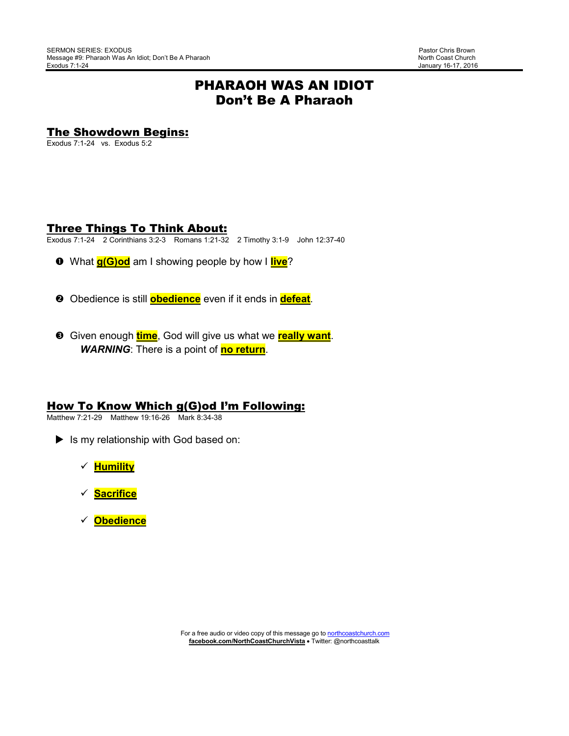# PHARAOH WAS AN IDIOT Don't Be A Pharaoh

# The Showdown Begins:

Exodus 7:1-24 vs. Exodus 5:2

## Three Things To Think About:

Exodus 7:1-24 2 Corinthians 3:2-3 Romans 1:21-32 2 Timothy 3:1-9 John 12:37-40

- What **g(G)od** am I showing people by how I **live**?
- **2** Obedience is still **obedience** even if it ends in **defeat**.
- Given enough **time**, God will give us what we **really want**. *WARNING*: There is a point of **no return**.

#### How To Know Which g(G)od I'm Following:

Matthew 7:21-29 Matthew 19:16-26 Mark 8:34-38

- Is my relationship with God based on:
	- **Humility**
	- **Sacrifice**
	- **Obedience**

For a free audio or video copy of this message go to northcoastchurch.com **facebook.com/NorthCoastChurchVista** • Twitter: @northcoasttalk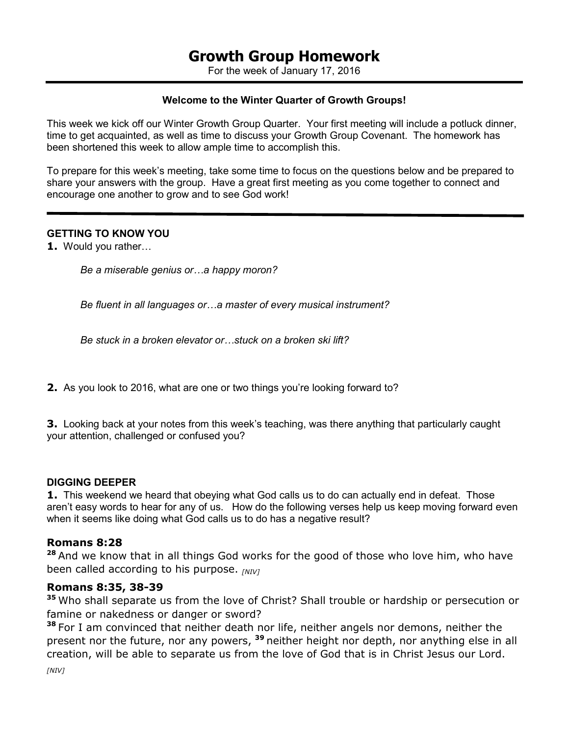For the week of January 17, 2016

#### **Welcome to the Winter Quarter of Growth Groups!**

This week we kick off our Winter Growth Group Quarter. Your first meeting will include a potluck dinner, time to get acquainted, as well as time to discuss your Growth Group Covenant. The homework has been shortened this week to allow ample time to accomplish this.

To prepare for this week's meeting, take some time to focus on the questions below and be prepared to share your answers with the group. Have a great first meeting as you come together to connect and encourage one another to grow and to see God work!

#### **GETTING TO KNOW YOU**

**1.** Would you rather...

*Be a miserable genius or...a happy moron?* 

*Be fluent in all languages or...a master of every musical instrument?* 

Be stuck in a broken elevator or stuck on a broken ski lift?

**2.** As you look to 2016, what are one or two things you're looking forward to?

**3.** Looking back at your notes from this week's teaching, was there anything that particularly caught your attention, challenged or confused you?

#### **DIGGING DEEPER**

**1.** This weekend we heard that obeying what God calls us to do can actually end in defeat. Those aren't easy words to hear for any of us. How do the following verses help us keep moving forward even when it seems like doing what God calls us to do has a negative result?

#### **Romans 8:28**

**<sup>28</sup>**And we know that in all things God works for the good of those who love him, who have been called according to his purpose. *[NIV]*

#### **Romans 8:35, 38-39**

**<sup>35</sup>**Who shall separate us from the love of Christ? Shall trouble or hardship or persecution or famine or nakedness or danger or sword?

**<sup>38</sup>**For I am convinced that neither death nor life, neither angels nor demons, neither the present nor the future, nor any powers, **<sup>39</sup>**neither height nor depth, nor anything else in all creation, will be able to separate us from the love of God that is in Christ Jesus our Lord. *[NIV]*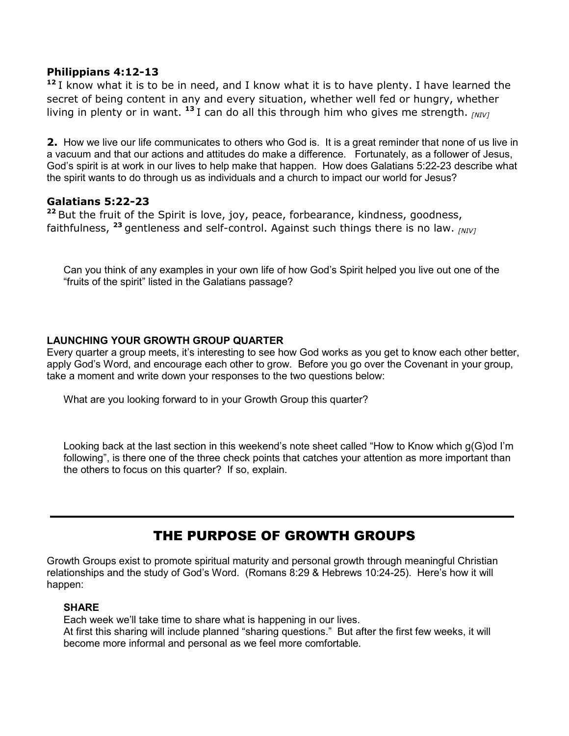#### **Philippians 4:12-13**

**<sup>12</sup>**I know what it is to be in need, and I know what it is to have plenty. I have learned the secret of being content in any and every situation, whether well fed or hungry, whether living in plenty or in want. **<sup>13</sup>**I can do all this through him who gives me strength. *[NIV]*

**2.** How we live our life communicates to others who God is. It is a great reminder that none of us live in a vacuum and that our actions and attitudes do make a difference. Fortunately, as a follower of Jesus, God's spirit is at work in our lives to help make that happen. How does Galatians 5:22-23 describe what the spirit wants to do through us as individuals and a church to impact our world for Jesus?

## **Galatians 5:22-23**

<sup>22</sup> But the fruit of the Spirit is love, joy, peace, forbearance, kindness, goodness, faithfulness, **<sup>23</sup>**gentleness and self-control. Against such things there is no law. *[NIV]*

Can you think of any examples in your own life of how God's Spirit helped you live out one of the "fruits of the spirit" listed in the Galatians passage?

#### **LAUNCHING YOUR GROWTH GROUP QUARTER**

Every quarter a group meets, it's interesting to see how God works as you get to know each other better, apply God's Word, and encourage each other to grow. Before you go over the Covenant in your group, take a moment and write down your responses to the two questions below:

What are you looking forward to in your Growth Group this quarter?

Looking back at the last section in this weekend's note sheet called "How to Know which g(G)od I'm following", is there one of the three check points that catches your attention as more important than the others to focus on this quarter? If so, explain.

# THE PURPOSE OF GROWTH GROUPS

Growth Groups exist to promote spiritual maturity and personal growth through meaningful Christian relationships and the study of God's Word. (Romans 8:29 & Hebrews 10:24-25). Here's how it will happen:

#### **SHARE**

Each week we'll take time to share what is happening in our lives. At first this sharing will include planned "sharing questions." But after the first few weeks, it will become more informal and personal as we feel more comfortable.